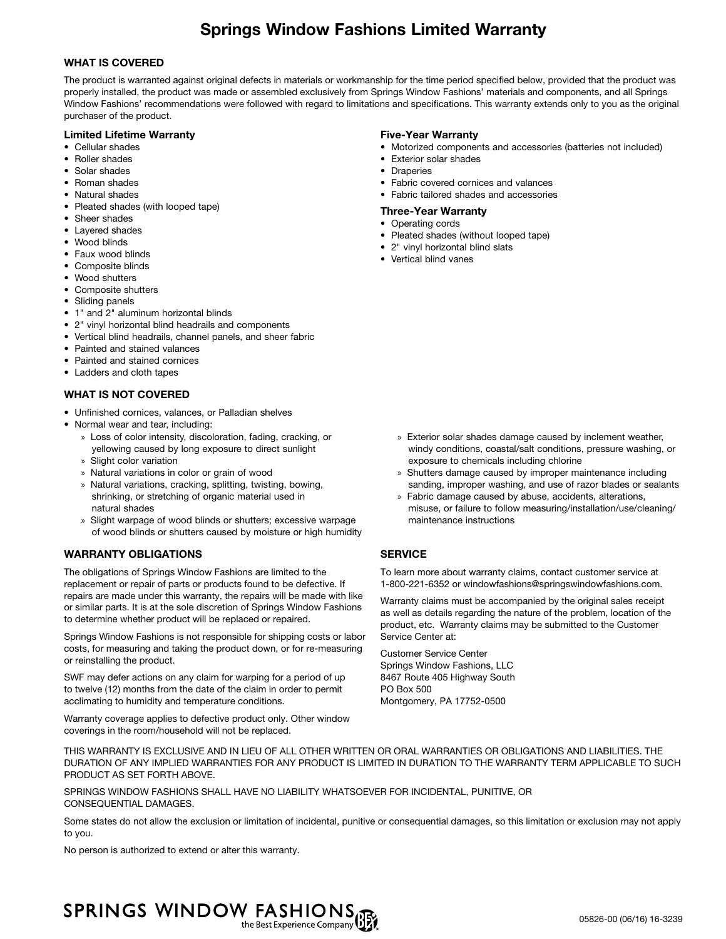# Springs Window Fashions Limited Warranty

# WHAT IS COVERED

The product is warranted against original defects in materials or workmanship for the time period specified below, provided that the product was properly installed, the product was made or assembled exclusively from Springs Window Fashions' materials and components, and all Springs Window Fashions' recommendations were followed with regard to limitations and specifications. This warranty extends only to you as the original purchaser of the product.

# Limited Lifetime Warranty

- Cellular shades
- Roller shades
- Solar shades
- Roman shades
- Natural shades
- Pleated shades (with looped tape)
- Sheer shades
- Layered shades
- Wood blinds
- Faux wood blinds
- Composite blinds
- Wood shutters
- Composite shutters
- Sliding panels
- 1" and 2" aluminum horizontal blinds
- 2" vinyl horizontal blind headrails and components
- Vertical blind headrails, channel panels, and sheer fabric
- Painted and stained valances
- Painted and stained cornices
- Ladders and cloth tapes

# WHAT IS NOT COVERED

- Unfinished cornices, valances, or Palladian shelves
- Normal wear and tear, including:
	- » Loss of color intensity, discoloration, fading, cracking, or yellowing caused by long exposure to direct sunlight » Slight color variation
	-
	- » Natural variations in color or grain of wood
	- » Natural variations, cracking, splitting, twisting, bowing, shrinking, or stretching of organic material used in natural shades
	- » Slight warpage of wood blinds or shutters; excessive warpage of wood blinds or shutters caused by moisture or high humidity

# WARRANTY OBLIGATIONS

The obligations of Springs Window Fashions are limited to the replacement or repair of parts or products found to be defective. If repairs are made under this warranty, the repairs will be made with like or similar parts. It is at the sole discretion of Springs Window Fashions to determine whether product will be replaced or repaired.

Springs Window Fashions is not responsible for shipping costs or labor costs, for measuring and taking the product down, or for re-measuring or reinstalling the product.

SWF may defer actions on any claim for warping for a period of up to twelve (12) months from the date of the claim in order to permit acclimating to humidity and temperature conditions.

Warranty coverage applies to defective product only. Other window coverings in the room/household will not be replaced.

# Five-Year Warranty

- Motorized components and accessories (batteries not included)
- Exterior solar shades
- Draperies
- Fabric covered cornices and valances
- Fabric tailored shades and accessories
- Three-Year Warranty
- Operating cords
- Pleated shades (without looped tape)
- 2" vinyl horizontal blind slats
- Vertical blind vanes

- » Exterior solar shades damage caused by inclement weather, windy conditions, coastal/salt conditions, pressure washing, or exposure to chemicals including chlorine
- » Shutters damage caused by improper maintenance including sanding, improper washing, and use of razor blades or sealants
- » Fabric damage caused by abuse, accidents, alterations, misuse, or failure to follow measuring/installation/use/cleaning/ maintenance instructions

# **SERVICE**

To learn more about warranty claims, contact customer service at 1-800-221-6352 or windowfashions@springswindowfashions.com.

Warranty claims must be accompanied by the original sales receipt as well as details regarding the nature of the problem, location of the product, etc. Warranty claims may be submitted to the Customer Service Center at:

Customer Service Center Springs Window Fashions, LLC 8467 Route 405 Highway South PO Box 500 Montgomery, PA 17752-0500

THIS WARRANTY IS EXCLUSIVE AND IN LIEU OF ALL OTHER WRITTEN OR ORAL WARRANTIES OR OBLIGATIONS AND LIABILITIES. THE DURATION OF ANY IMPLIED WARRANTIES FOR ANY PRODUCT IS LIMITED IN DURATION TO THE WARRANTY TERM APPLICABLE TO SUCH PRODUCT AS SET FORTH ABOVE.

SPRINGS WINDOW FASHIONS SHALL HAVE NO LIABILITY WHATSOEVER FOR INCIDENTAL, PUNITIVE, OR CONSEQUENTIAL DAMAGES.

Some states do not allow the exclusion or limitation of incidental, punitive or consequential damages, so this limitation or exclusion may not apply to you.

No person is authorized to extend or alter this warranty.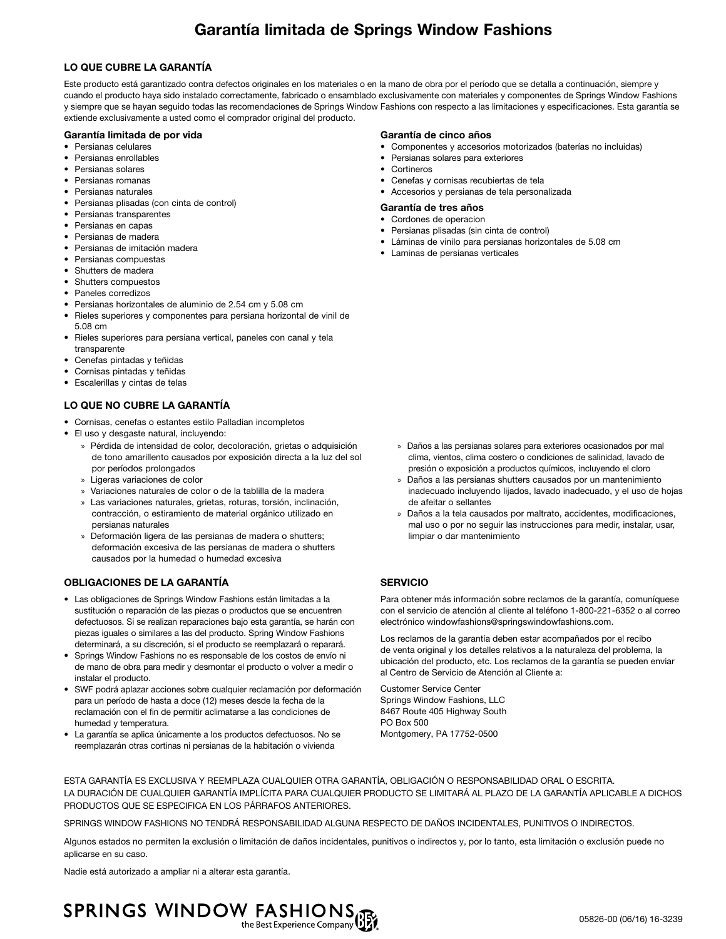# Garantía limitada de Springs Window Fashions

# LO QUE CUBRE LA GARANTÍA

Este producto está garantizado contra defectos originales en los materiales o en la mano de obra por el período que se detalla a continuación, siempre y cuando el producto haya sido instalado correctamente, fabricado o ensamblado exclusivamente con materiales y componentes de Springs Window Fashions y siempre que se hayan seguido todas las recomendaciones de Springs Window Fashions con respecto a las limitaciones y especificaciones. Esta garantía se extiende exclusivamente a usted como el comprador original del producto.

# Garantía limitada de por vida

- Persianas celulares
- Persianas enrollables
- Persianas solares
- Persianas romanas
- Persianas naturales
- Persianas plisadas (con cinta de control)
- Persianas transparentes
- Persianas en capas
- Persianas de madera
- Persianas de imitación madera
- Persianas compuestas
- Shutters de madera
- Shutters compuestos
- Paneles corredizos
- Persianas horizontales de aluminio de 2.54 cm y 5.08 cm
- Rieles superiores y componentes para persiana horizontal de vinil de 5.08 cm
- Rieles superiores para persiana vertical, paneles con canal y tela transparente
- Cenefas pintadas y teñidas
- Cornisas pintadas y teñidas
- Escalerillas y cintas de telas

# LO QUE NO CUBRE LA GARANTÍA

- Cornisas, cenefas o estantes estilo Palladian incompletos
- El uso y desgaste natural, incluyendo:
	- » Pérdida de intensidad de color, decoloración, grietas o adquisición de tono amarillento causados por exposición directa a la luz del sol por períodos prolongados
	- » Ligeras variaciones de color
	- » Variaciones naturales de color o de la tablilla de la madera
	- » Las variaciones naturales, grietas, roturas, torsión, inclinación, contracción, o estiramiento de material orgánico utilizado en persianas naturales
	- » Deformación ligera de las persianas de madera o shutters; deformación excesiva de las persianas de madera o shutters causados por la humedad o humedad excesiva

# OBLIGACIONES DE LA GARANTÍA

- Las obligaciones de Springs Window Fashions están limitadas a la sustitución o reparación de las piezas o productos que se encuentren defectuosos. Si se realizan reparaciones bajo esta garantía, se harán con piezas iguales o similares a las del producto. Spring Window Fashions determinará, a su discreción, si el producto se reemplazará o reparará.
- Springs Window Fashions no es responsable de los costos de envío ni de mano de obra para medir y desmontar el producto o volver a medir o instalar el producto.
- SWF podrá aplazar acciones sobre cualquier reclamación por deformación para un período de hasta a doce (12) meses desde la fecha de la reclamación con el fin de permitir aclimatarse a las condiciones de humedad y temperatura.
- La garantía se aplica únicamente a los productos defectuosos. No se reemplazarán otras cortinas ni persianas de la habitación o vivienda

#### Garantía de cinco años

- Componentes y accesorios motorizados (baterías no incluidas)
- Persianas solares para exteriores
- Cortineros
- Cenefas y cornisas recubiertas de tela
- Accesorios y persianas de tela personalizada

#### Garantía de tres años

- Cordones de operacion
- Persianas plisadas (sin cinta de control)
- Láminas de vinilo para persianas horizontales de 5.08 cm
- Laminas de persianas verticales

- » Daños a las persianas solares para exteriores ocasionados por mal clima, vientos, clima costero o condiciones de salinidad, lavado de presión o exposición a productos químicos, incluyendo el cloro
- » Daños a las persianas shutters causados por un mantenimiento inadecuado incluyendo lijados, lavado inadecuado, y el uso de hojas de afeitar o sellantes
- » Daños a la tela causados por maltrato, accidentes, modificaciones, mal uso o por no seguir las instrucciones para medir, instalar, usar, limpiar o dar mantenimiento

# SERVICIO

Para obtener más información sobre reclamos de la garantía, comuníquese con el servicio de atención al cliente al teléfono 1-800-221-6352 o al correo electrónico windowfashions@springswindowfashions.com.

Los reclamos de la garantía deben estar acompañados por el recibo de venta original y los detalles relativos a la naturaleza del problema, la ubicación del producto, etc. Los reclamos de la garantía se pueden enviar al Centro de Servicio de Atención al Cliente a:

Customer Service Center Springs Window Fashions, LLC 8467 Route 405 Highway South PO Box 500 Montgomery, PA 17752-0500

ESTA GARANTÍA ES EXCLUSIVA Y REEMPLAZA CUALQUIER OTRA GARANTÍA, OBLIGACIÓN O RESPONSABILIDAD ORAL O ESCRITA. LA DURACIÓN DE CUALQUIER GARANTÍA IMPLÍCITA PARA CUALQUIER PRODUCTO SE LIMITARÁ AL PLAZO DE LA GARANTÍA APLICABLE A DICHOS PRODUCTOS QUE SE ESPECIFICA EN LOS PÁRRAFOS ANTERIORES.

SPRINGS WINDOW FASHIONS NO TENDRÁ RESPONSABILIDAD ALGUNA RESPECTO DE DAÑOS INCIDENTALES, PUNITIVOS O INDIRECTOS.

Algunos estados no permiten la exclusión o limitación de daños incidentales, punitivos o indirectos y, por lo tanto, esta limitación o exclusión puede no aplicarse en su caso.

Nadie está autorizado a ampliar ni a alterar esta garantía.

# SPRINGS WINDOW FASHIONS